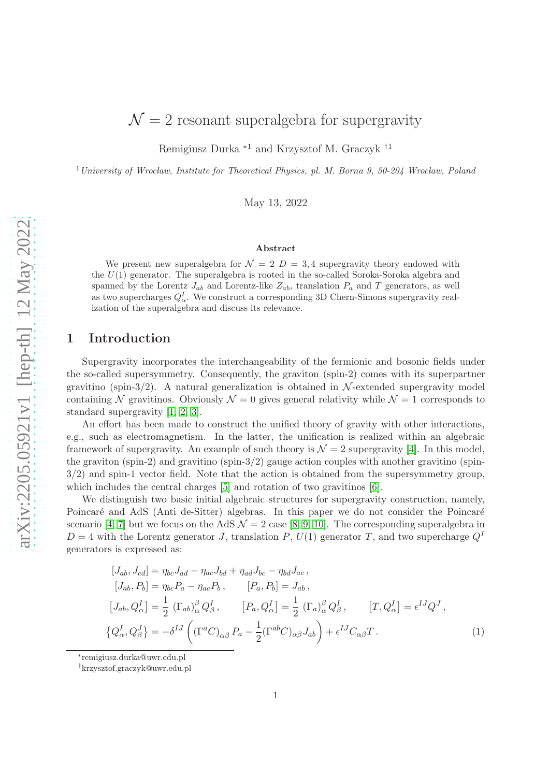Remigiusz Durka <sup>∗</sup><sup>1</sup> and Krzysztof M. Graczyk †<sup>1</sup>

<sup>1</sup> University of Wrocław, Institute for Theoretical Physics, pl. M. Borna 9, 50-204 Wrocław, Poland

May 13, 2022

#### Abstract

We present new superalgebra for  $\mathcal{N} = 2$   $D = 3.4$  supergravity theory endowed with the  $U(1)$  generator. The superalgebra is rooted in the so-called Soroka-Soroka algebra and spanned by the Lorentz  $J_{ab}$  and Lorentz-like  $Z_{ab}$ , translation  $P_a$  and T generators, as well as two supercharges  $Q_{\alpha}^{I}$ . We construct a corresponding 3D Chern-Simons supergravity realization of the superalgebra and discuss its relevance.

### 1 Introduction

Supergravity incorporates the interchangeability of the fermionic and bosonic fields under the so-called supersymmetry. Consequently, the graviton (spin-2) comes with its superpartner gravitino (spin-3/2). A natural generalization is obtained in  $\mathcal{N}$ -extended supergravity model containing N gravitinos. Obviously  $\mathcal{N} = 0$  gives general relativity while  $\mathcal{N} = 1$  corresponds to standard supergravity [\[1,](#page-6-0) [2,](#page-6-1) [3\]](#page-6-2).

An effort has been made to construct the unified theory of gravity with other interactions, e.g., such as electromagnetism. In the latter, the unification is realized within an algebraic framework of supergravity. An example of such theory is  $\mathcal{N} = 2$  supergravity [\[4\]](#page-7-0). In this model, the graviton (spin-2) and gravitino (spin- $3/2$ ) gauge action couples with another gravitino (spin-3/2) and spin-1 vector field. Note that the action is obtained from the supersymmetry group, which includes the central charges [\[5\]](#page-7-1) and rotation of two gravitinos [\[6\]](#page-7-2).

We distinguish two basic initial algebraic structures for supergravity construction, namely, Poincaré and AdS (Anti de-Sitter) algebras. In this paper we do not consider the Poincaré scenario [\[4,](#page-7-0) [7\]](#page-7-3) but we focus on the AdS  $\mathcal{N} = 2$  case [\[8,](#page-7-4) [9,](#page-7-5) [10\]](#page-7-6). The corresponding superalgebra in  $D = 4$  with the Lorentz generator J, translation P,  $U(1)$  generator T, and two supercharge  $Q<sup>I</sup>$ generators is expressed as:

<span id="page-0-0"></span>
$$
[J_{ab}, J_{cd}] = \eta_{bc}J_{ad} - \eta_{ac}J_{bd} + \eta_{ad}J_{bc} - \eta_{bd}J_{ac},
$$
  
\n
$$
[J_{ab}, P_b] = \eta_{bc}P_a - \eta_{ac}P_b, \qquad [P_a, P_b] = J_{ab},
$$
  
\n
$$
[J_{ab}, Q_{\alpha}^I] = \frac{1}{2} (\Gamma_{ab})_{\alpha}^{\beta} Q_{\beta}^I, \qquad [P_a, Q_{\alpha}^I] = \frac{1}{2} (\Gamma_a)_{\alpha}^{\beta} Q_{\beta}^I, \qquad [T, Q_{\alpha}^I] = \epsilon^{IJ} Q^J,
$$
  
\n
$$
\{Q_{\alpha}^I, Q_{\beta}^J\} = -\delta^{IJ} ((\Gamma^a C)_{\alpha\beta} P_a - \frac{1}{2} (\Gamma^{ab} C)_{\alpha\beta} J_{ab}) + \epsilon^{IJ} C_{\alpha\beta} T.
$$
  
\n(1)

∗ remigiusz.durka@uwr.edu.pl

<sup>†</sup> krzysztof.graczyk@uwr.edu.pl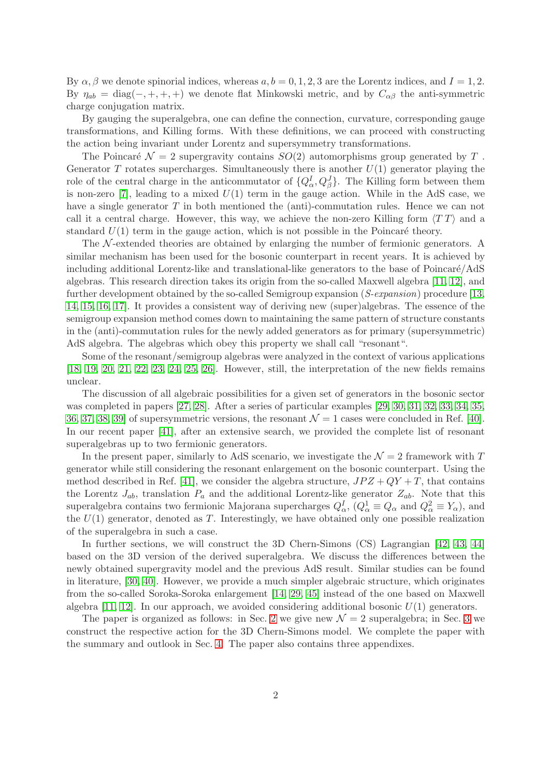By  $\alpha$ ,  $\beta$  we denote spinorial indices, whereas  $a, b = 0, 1, 2, 3$  are the Lorentz indices, and  $I = 1, 2$ . By  $\eta_{ab} = \text{diag}(-, +, +, +)$  we denote flat Minkowski metric, and by  $C_{\alpha\beta}$  the anti-symmetric charge conjugation matrix.

By gauging the superalgebra, one can define the connection, curvature, corresponding gauge transformations, and Killing forms. With these definitions, we can proceed with constructing the action being invariant under Lorentz and supersymmetry transformations.

The Poincaré  $\mathcal{N} = 2$  supergravity contains  $SO(2)$  automorphisms group generated by T. Generator T rotates supercharges. Simultaneously there is another  $U(1)$  generator playing the role of the central charge in the anticommutator of  $\{Q^I_{\alpha}, Q^J_{\beta}\}\$ . The Killing form between them is non-zero [\[7\]](#page-7-3), leading to a mixed  $U(1)$  term in the gauge action. While in the AdS case, we have a single generator T in both mentioned the (anti)-commutation rules. Hence we can not call it a central charge. However, this way, we achieve the non-zero Killing form  $\langle TT \rangle$  and a standard  $U(1)$  term in the gauge action, which is not possible in the Poincaré theory.

The  $\mathcal N$ -extended theories are obtained by enlarging the number of fermionic generators. A similar mechanism has been used for the bosonic counterpart in recent years. It is achieved by including additional Lorentz-like and translational-like generators to the base of Poincaré/AdS algebras. This research direction takes its origin from the so-called Maxwell algebra [\[11,](#page-7-7) [12\]](#page-7-8), and further development obtained by the so-called Semigroup expansion (S-expansion) procedure [\[13,](#page-7-9) [14,](#page-7-10) [15,](#page-7-11) [16,](#page-7-12) [17\]](#page-7-13). It provides a consistent way of deriving new (super)algebras. The essence of the semigroup expansion method comes down to maintaining the same pattern of structure constants in the (anti)-commutation rules for the newly added generators as for primary (supersymmetric) AdS algebra. The algebras which obey this property we shall call "resonant".

Some of the resonant/semigroup algebras were analyzed in the context of various applications [\[18,](#page-7-14) [19,](#page-7-15) [20,](#page-7-16) [21,](#page-8-0) [22,](#page-8-1) [23,](#page-8-2) [24,](#page-8-3) [25,](#page-8-4) [26\]](#page-8-5). However, still, the interpretation of the new fields remains unclear.

The discussion of all algebraic possibilities for a given set of generators in the bosonic sector was completed in papers [\[27,](#page-8-6) [28\]](#page-8-7). After a series of particular examples [\[29,](#page-8-8) [30,](#page-8-9) [31,](#page-8-10) [32,](#page-8-11) [33,](#page-8-12) [34,](#page-8-13) [35,](#page-8-14) [36,](#page-8-15) [37,](#page-8-16) [38,](#page-9-0) [39\]](#page-9-1) of supersymmetric versions, the resonant  $\mathcal{N} = 1$  cases were concluded in Ref. [\[40\]](#page-9-2). In our recent paper [\[41\]](#page-9-3), after an extensive search, we provided the complete list of resonant superalgebras up to two fermionic generators.

In the present paper, similarly to AdS scenario, we investigate the  $\mathcal{N}=2$  framework with T generator while still considering the resonant enlargement on the bosonic counterpart. Using the method described in Ref. [\[41\]](#page-9-3), we consider the algebra structure,  $JPZ + QY + T$ , that contains the Lorentz  $J_{ab}$ , translation  $P_a$  and the additional Lorentz-like generator  $Z_{ab}$ . Note that this superalgebra contains two fermionic Majorana supercharges  $Q^I_\alpha$ ,  $Q^1_\alpha \equiv Q_\alpha$  and  $Q^2_\alpha \equiv Y_\alpha$ , and the  $U(1)$  generator, denoted as T. Interestingly, we have obtained only one possible realization of the superalgebra in such a case.

In further sections, we will construct the 3D Chern-Simons (CS) Lagrangian [\[42,](#page-9-4) [43,](#page-9-5) [44\]](#page-9-6) based on the 3D version of the derived superalgebra. We discuss the differences between the newly obtained supergravity model and the previous AdS result. Similar studies can be found in literature, [\[30,](#page-8-9) [40\]](#page-9-2). However, we provide a much simpler algebraic structure, which originates from the so-called Soroka-Soroka enlargement [\[14,](#page-7-10) [29,](#page-8-8) [45\]](#page-9-7) instead of the one based on Maxwell algebra [\[11,](#page-7-7) [12\]](#page-7-8). In our approach, we avoided considering additional bosonic  $U(1)$  generators.

The paper is organized as follows: in Sec. [2](#page-2-0) we give new  $\mathcal{N}=2$  superalgebra; in Sec. [3](#page-3-0) we construct the respective action for the 3D Chern-Simons model. We complete the paper with the summary and outlook in Sec. [4.](#page-4-0) The paper also contains three appendixes.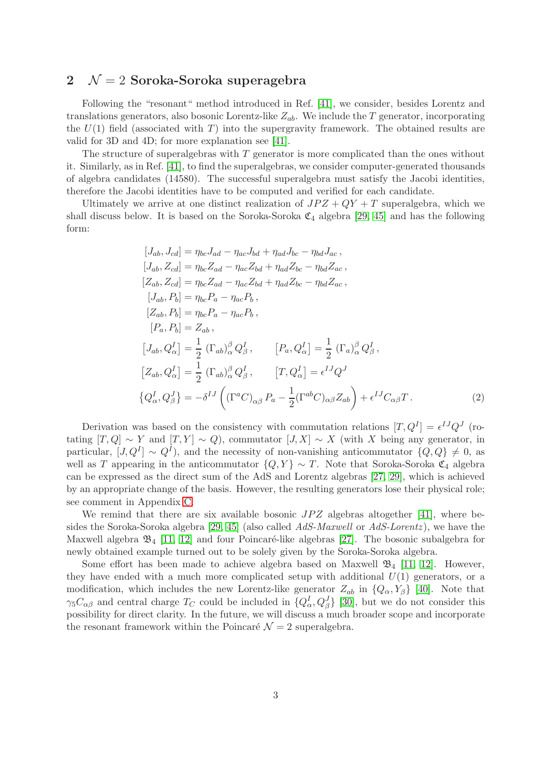#### <span id="page-2-0"></span>2  $\mathcal{N} = 2$  Soroka-Soroka superagebra

Following the "resonant" method introduced in Ref. [\[41\]](#page-9-3), we consider, besides Lorentz and translations generators, also bosonic Lorentz-like  $Z_{ab}$ . We include the T generator, incorporating the  $U(1)$  field (associated with T) into the supergravity framework. The obtained results are valid for 3D and 4D; for more explanation see [\[41\]](#page-9-3).

The structure of superalgebras with  $T$  generator is more complicated than the ones without it. Similarly, as in Ref. [\[41\]](#page-9-3), to find the superalgebras, we consider computer-generated thousands of algebra candidates (14580). The successful superalgebra must satisfy the Jacobi identities, therefore the Jacobi identities have to be computed and verified for each candidate.

Ultimately we arrive at one distinct realization of  $JPZ + QY + T$  superalgebra, which we shall discuss below. It is based on the Soroka-Soroka  $\mathfrak{C}_4$  algebra [\[29,](#page-8-8) [45\]](#page-9-7) and has the following form:

<span id="page-2-1"></span>
$$
[J_{ab}, J_{cd}] = \eta_{bc}J_{ad} - \eta_{ac}J_{bd} + \eta_{ad}J_{bc} - \eta_{bd}J_{ac},
$$
  
\n
$$
[J_{ab}, Z_{cd}] = \eta_{bc}Z_{ad} - \eta_{ac}Z_{bd} + \eta_{ad}Z_{bc} - \eta_{bd}Z_{ac},
$$
  
\n
$$
[Z_{ab}, Z_{cd}] = \eta_{bc}Z_{ad} - \eta_{ac}Z_{bd} + \eta_{ad}Z_{bc} - \eta_{bd}Z_{ac},
$$
  
\n
$$
[J_{ab}, P_b] = \eta_{bc}P_a - \eta_{ac}P_b,
$$
  
\n
$$
[Z_{ab}, P_b] = Z_{ab},
$$
  
\n
$$
[J_{ab}, Q_{\alpha}^I] = \frac{1}{2} (\Gamma_{ab})_{\alpha}^{\beta} Q_{\beta}^I, \qquad [P_a, Q_{\alpha}^I] = \frac{1}{2} (\Gamma_a)_{\alpha}^{\beta} Q_{\beta}^I,
$$
  
\n
$$
[Z_{ab}, Q_{\alpha}^I] = \frac{1}{2} (\Gamma_{ab})_{\alpha}^{\beta} Q_{\beta}^I, \qquad [T, Q_{\alpha}^I] = \epsilon^{IJ} Q^J
$$
  
\n
$$
\{Q_{\alpha}^I, Q_{\beta}^J\} = -\delta^{IJ} ((\Gamma^a C)_{\alpha\beta} P_a - \frac{1}{2} (\Gamma^{ab} C)_{\alpha\beta} Z_{ab}) + \epsilon^{IJ} C_{\alpha\beta} T.
$$
  
\n(2)

Derivation was based on the consistency with commutation relations  $[T, Q^I] = \epsilon^{IJ} Q^J$  (rotating  $[T, Q] \sim Y$  and  $[T, Y] \sim Q$ ), commutator  $[J, X] \sim X$  (with X being any generator, in particular,  $[J, Q^I] \sim Q^I$ , and the necessity of non-vanishing anticommutator  $\{Q, Q\} \neq 0$ , as well as T appearing in the anticommutator  ${Q, Y} \sim T$ . Note that Soroka-Soroka  $\mathfrak{C}_4$  algebra can be expressed as the direct sum of the AdS and Lorentz algebras [\[27,](#page-8-6) [29\]](#page-8-8), which is achieved by an appropriate change of the basis. However, the resulting generators lose their physical role; see comment in Appendix [C.](#page-6-3)

We remind that there are six available bosonic  $JPZ$  algebras altogether [\[41\]](#page-9-3), where be-sides the Soroka-Soroka algebra [\[29,](#page-8-8) [45\]](#page-9-7) (also called  $AdS-Maxwell$  or  $AdS-Lorentz$ ), we have the Maxwell algebra  $\mathfrak{B}_4$  [\[11,](#page-7-7) [12\]](#page-7-8) and four Poincaré-like algebras [\[27\]](#page-8-6). The bosonic subalgebra for newly obtained example turned out to be solely given by the Soroka-Soroka algebra.

Some effort has been made to achieve algebra based on Maxwell  $\mathfrak{B}_4$  [\[11,](#page-7-7) [12\]](#page-7-8). However, they have ended with a much more complicated setup with additional  $U(1)$  generators, or a modification, which includes the new Lorentz-like generator  $Z_{ab}$  in  $\{Q_{\alpha}, Y_{\beta}\}$  [\[40\]](#page-9-2). Note that  $\gamma_5 C_{\alpha\beta}$  and central charge  $T_C$  could be included in  $\{Q^I_\alpha, Q^J_\beta\}$  [\[30\]](#page-8-9), but we do not consider this possibility for direct clarity. In the future, we will discuss a much broader scope and incorporate the resonant framework within the Poincaré  $\mathcal{N} = 2$  superalgebra.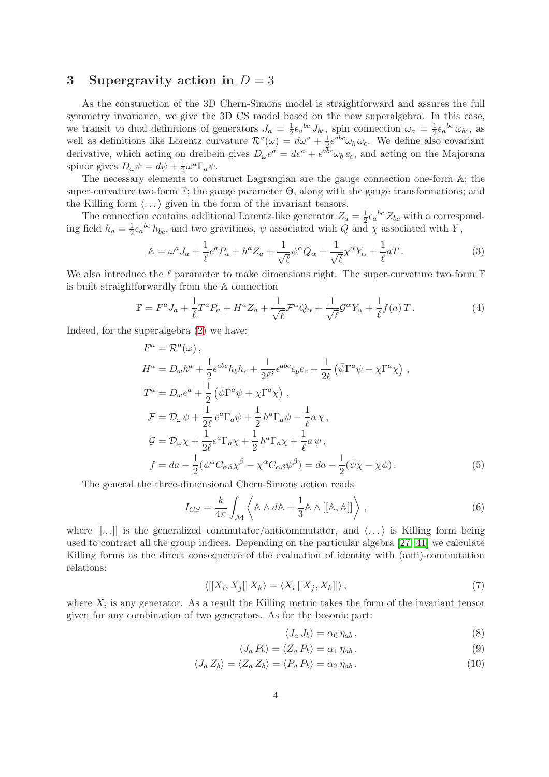#### <span id="page-3-0"></span>3 Supergravity action in  $D = 3$

As the construction of the 3D Chern-Simons model is straightforward and assures the full symmetry invariance, we give the 3D CS model based on the new superalgebra. In this case, we transit to dual definitions of generators  $J_a = \frac{1}{2}$  $\frac{1}{2} \epsilon_a^{bc} J_{bc}$ , spin connection  $\omega_a = \frac{1}{2}$  $\frac{1}{2} \epsilon_a{}^{bc} \omega_{bc}$ , as well as definitions like Lorentz curvature  $\mathcal{R}^{a}(\omega) = d\omega^{a} + \frac{1}{2}d\omega^{b}$  $\frac{1}{2} \epsilon^{abc} \omega_b \omega_c$ . We define also covariant derivative, which acting on dreibein gives  $D_{\omega}e^a = de^a + \epsilon^{abc}\omega_b e_c$ , and acting on the Majorana spinor gives  $D_{\omega}\psi = d\psi + \frac{1}{2}$  $\frac{1}{2}\omega^a\Gamma_a\psi.$ 

The necessary elements to construct Lagrangian are the gauge connection one-form A; the super-curvature two-form  $\mathbb{F}$ ; the gauge parameter  $\Theta$ , along with the gauge transformations; and the Killing form  $\langle \ldots \rangle$  given in the form of the invariant tensors.

The connection contains additional Lorentz-like generator  $Z_a = \frac{1}{2} \epsilon_a{}^{bc} Z_{bc}$  with a corresponding field  $h_a = \frac{1}{2} \epsilon_a{}^{bc} h_{bc}$ , and two gravitinos,  $\psi$  associated with  $Q$  and  $\chi$  associated with  $Y$ ,

$$
\mathbb{A} = \omega^a J_a + \frac{1}{\ell} e^a P_a + h^a Z_a + \frac{1}{\sqrt{\ell}} \psi^\alpha Q_\alpha + \frac{1}{\sqrt{\ell}} \chi^\alpha Y_\alpha + \frac{1}{\ell} a T. \tag{3}
$$

We also introduce the  $\ell$  parameter to make dimensions right. The super-curvature two-form  $\mathbb F$ is built straightforwardly from the A connection

$$
\mathbb{F} = F^a J_a + \frac{1}{\ell} T^a P_a + H^a Z_a + \frac{1}{\sqrt{\ell}} \mathcal{F}^\alpha Q_\alpha + \frac{1}{\sqrt{\ell}} \mathcal{G}^\alpha Y_\alpha + \frac{1}{\ell} f(a) T \,. \tag{4}
$$

Indeed, for the superalgebra [\(2\)](#page-2-1) we have:

$$
F^{a} = \mathcal{R}^{a}(\omega),
$$
  
\n
$$
H^{a} = D_{\omega}h^{a} + \frac{1}{2}\epsilon^{abc}h_{b}h_{c} + \frac{1}{2\ell^{2}}\epsilon^{abc}e_{b}e_{c} + \frac{1}{2\ell}(\bar{\psi}\Gamma^{a}\psi + \bar{\chi}\Gamma^{a}\chi),
$$
  
\n
$$
T^{a} = D_{\omega}e^{a} + \frac{1}{2}(\bar{\psi}\Gamma^{a}\psi + \bar{\chi}\Gamma^{a}\chi),
$$
  
\n
$$
\mathcal{F} = \mathcal{D}_{\omega}\psi + \frac{1}{2\ell}e^{a}\Gamma_{a}\psi + \frac{1}{2}h^{a}\Gamma_{a}\psi - \frac{1}{\ell}a\chi,
$$
  
\n
$$
\mathcal{G} = \mathcal{D}_{\omega}\chi + \frac{1}{2\ell}e^{a}\Gamma_{a}\chi + \frac{1}{2}h^{a}\Gamma_{a}\chi + \frac{1}{\ell}a\psi,
$$
  
\n
$$
f = da - \frac{1}{2}(\psi^{\alpha}C_{\alpha\beta}\chi^{\beta} - \chi^{\alpha}C_{\alpha\beta}\psi^{\beta}) = da - \frac{1}{2}(\bar{\psi}\chi - \bar{\chi}\psi).
$$
  
\n(5)

The general the three-dimensional Chern-Simons action reads

$$
I_{CS} = \frac{k}{4\pi} \int_{\mathcal{M}} \left\langle \mathbb{A} \wedge d\mathbb{A} + \frac{1}{3} \mathbb{A} \wedge [[\mathbb{A}, \mathbb{A}]] \right\rangle , \tag{6}
$$

where  $[[.,.]]$  is the generalized commutator/anticommutator, and  $\langle \ldots \rangle$  is Killing form being used to contract all the group indices. Depending on the particular algebra [\[27,](#page-8-6) [41\]](#page-9-3) we calculate Killing forms as the direct consequence of the evaluation of identity with (anti)-commutation relations:

$$
\langle [[X_i, X_j]] \, X_k \rangle = \langle X_i \, [[X_j, X_k]] \rangle \,, \tag{7}
$$

where  $X_i$  is any generator. As a result the Killing metric takes the form of the invariant tensor given for any combination of two generators. As for the bosonic part:

$$
\langle J_a J_b \rangle = \alpha_0 \eta_{ab} , \qquad (8)
$$

$$
\langle J_a P_b \rangle = \langle Z_a P_b \rangle = \alpha_1 \eta_{ab} , \qquad (9)
$$

$$
\langle J_a Z_b \rangle = \langle Z_a Z_b \rangle = \langle P_a P_b \rangle = \alpha_2 \eta_{ab} \,. \tag{10}
$$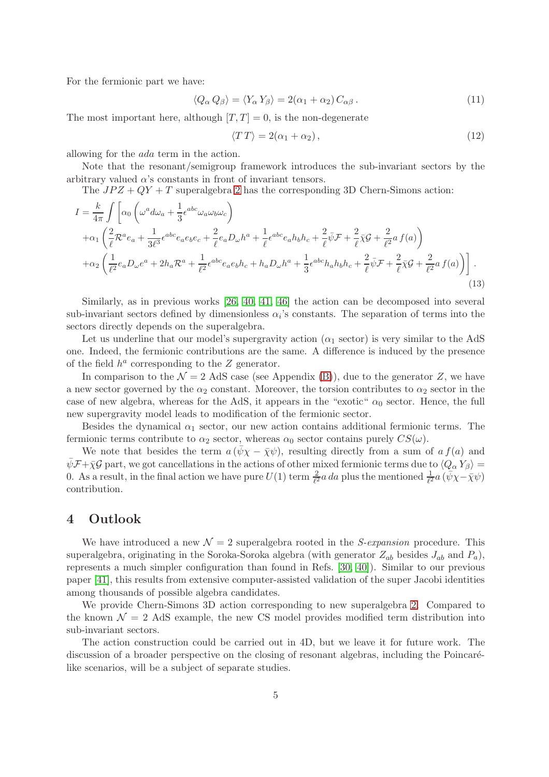For the fermionic part we have:

$$
\langle Q_{\alpha} Q_{\beta} \rangle = \langle Y_{\alpha} Y_{\beta} \rangle = 2(\alpha_1 + \alpha_2) C_{\alpha\beta} . \tag{11}
$$

The most important here, although  $[T, T] = 0$ , is the non-degenerate

$$
\langle TT \rangle = 2(\alpha_1 + \alpha_2), \qquad (12)
$$

allowing for the ada term in the action.

Note that the resonant/semigroup framework introduces the sub-invariant sectors by the arbitrary valued  $\alpha$ 's constants in front of invariant tensors.

The  $JPZ + QY + T$  superalgebra [2](#page-2-1) has the corresponding 3D Chern-Simons action:

$$
I = \frac{k}{4\pi} \int \left[ \alpha_0 \left( \omega^a d\omega_a + \frac{1}{3} \epsilon^{abc} \omega_a \omega_b \omega_c \right) \right.
$$
  
\n
$$
+ \alpha_1 \left( \frac{2}{\ell} \mathcal{R}^a e_a + \frac{1}{3\ell^3} \epsilon^{abc} e_a e_b e_c + \frac{2}{\ell} e_a D_\omega h^a + \frac{1}{\ell} \epsilon^{abc} e_a h_b h_c + \frac{2}{\ell} \bar{\psi} \mathcal{F} + \frac{2}{\ell} \bar{\chi} \mathcal{G} + \frac{2}{\ell^2} a f(a) \right)
$$
  
\n
$$
+ \alpha_2 \left( \frac{1}{\ell^2} e_a D_\omega e^a + 2h_a \mathcal{R}^a + \frac{1}{\ell^2} \epsilon^{abc} e_a e_b h_c + h_a D_\omega h^a + \frac{1}{3} \epsilon^{abc} h_a h_b h_c + \frac{2}{\ell} \bar{\psi} \mathcal{F} + \frac{2}{\ell} \bar{\chi} \mathcal{G} + \frac{2}{\ell^2} a f(a) \right) \right].
$$
\n(13)

Similarly, as in previous works [\[26,](#page-8-5) [40,](#page-9-2) [41,](#page-9-3) [46\]](#page-9-8) the action can be decomposed into several sub-invariant sectors defined by dimensionless  $\alpha_i$ 's constants. The separation of terms into the sectors directly depends on the superalgebra.

Let us underline that our model's supergravity action ( $\alpha_1$  sector) is very similar to the AdS one. Indeed, the fermionic contributions are the same. A difference is induced by the presence of the field  $h^a$  corresponding to the  $Z$  generator.

In comparison to the  $\mathcal{N} = 2$  AdS case (see Appendix [\(B\)](#page-5-0)), due to the generator Z, we have a new sector governed by the  $\alpha_2$  constant. Moreover, the torsion contributes to  $\alpha_2$  sector in the case of new algebra, whereas for the AdS, it appears in the "exotic"  $\alpha_0$  sector. Hence, the full new supergravity model leads to modification of the fermionic sector.

Besides the dynamical  $\alpha_1$  sector, our new action contains additional fermionic terms. The fermionic terms contribute to  $\alpha_2$  sector, whereas  $\alpha_0$  sector contains purely  $CS(\omega)$ .

We note that besides the term  $a(\bar{\psi}\chi - \bar{\chi}\psi)$ , resulting directly from a sum of  $a f(a)$  and  $\bar{\psi}$ F+ $\bar{\chi}$ G part, we got cancellations in the actions of other mixed fermionic terms due to  $\langle Q_{\alpha} Y_{\beta} \rangle =$ 0. As a result, in the final action we have pure  $U(1)$  term  $\frac{2}{\ell^2}a\,da$  plus the mentioned  $\frac{1}{\ell^2}a(\psi\chi-\bar{\chi}\psi)$ contribution.

#### <span id="page-4-0"></span>4 Outlook

We have introduced a new  $\mathcal{N} = 2$  superalgebra rooted in the *S-expansion* procedure. This superalgebra, originating in the Soroka-Soroka algebra (with generator  $Z_{ab}$  besides  $J_{ab}$  and  $P_a$ ), represents a much simpler configuration than found in Refs. [\[30,](#page-8-9) [40\]](#page-9-2)). Similar to our previous paper [\[41\]](#page-9-3), this results from extensive computer-assisted validation of the super Jacobi identities among thousands of possible algebra candidates.

We provide Chern-Simons 3D action corresponding to new superalgebra [2.](#page-2-1) Compared to the known  $\mathcal{N} = 2$  AdS example, the new CS model provides modified term distribution into sub-invariant sectors.

The action construction could be carried out in 4D, but we leave it for future work. The discussion of a broader perspective on the closing of resonant algebras, including the Poincarélike scenarios, will be a subject of separate studies.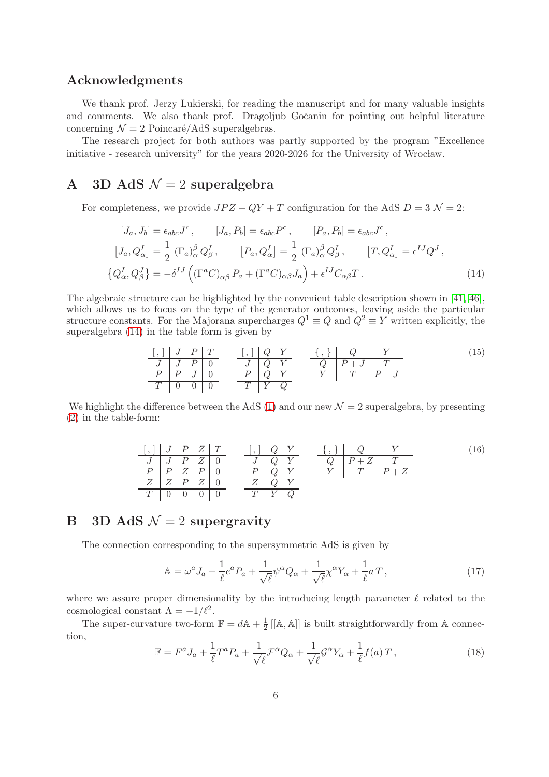#### Acknowledgments

We thank prof. Jerzy Lukierski, for reading the manuscript and for many valuable insights and comments. We also thank prof. Dragoljub Gočanin for pointing out helpful literature concerning  $\mathcal{N} = 2$  Poincaré/AdS superalgebras.

The research project for both authors was partly supported by the program "Excellence initiative - research university" for the years 2020-2026 for the University of Wrocław.

# A 3D AdS  $\mathcal{N}=2$  superalgebra

For completeness, we provide  $JPZ + QY + T$  configuration for the AdS  $D = 3 \mathcal{N} = 2$ :

$$
[J_a, J_b] = \epsilon_{abc} J^c, \qquad [J_a, P_b] = \epsilon_{abc} P^c, \qquad [P_a, P_b] = \epsilon_{abc} J^c,
$$
  
\n
$$
[J_a, Q_\alpha^I] = \frac{1}{2} (\Gamma_a)_\alpha^\beta Q_\beta^I, \qquad [P_a, Q_\alpha^I] = \frac{1}{2} (\Gamma_a)_\alpha^\beta Q_\beta^I, \qquad [T, Q_\alpha^I] = \epsilon^{IJ} Q^J,
$$
  
\n
$$
\{Q_\alpha^I, Q_\beta^J\} = -\delta^{IJ} ((\Gamma^a C)_{\alpha\beta} P_a + (\Gamma^a C)_{\alpha\beta} J_a) + \epsilon^{IJ} C_{\alpha\beta} T.
$$
\n(14)

The algebraic structure can be highlighted by the convenient table description shown in [\[41,](#page-9-3) [46\]](#page-9-8), which allows us to focus on the type of the generator outcomes, leaving aside the particular structure constants. For the Majorana supercharges  $Q^1 \equiv Q$  and  $Q^2 \equiv Y$  written explicitly, the superalgebra [\(14\)](#page-5-1) in the table form is given by

<span id="page-5-1"></span>
$$
\begin{array}{c|ccccc}\n[ , & J & P & T & & \n\hline\nJ & J & P & 0 & & J & Q & Y & & Q & P+J & T \\
P & P & J & 0 & & P & Q & Y & & Y & T & P+J \\
\hline\nT & 0 & 0 & 0 & & & T & Y & Q\n\end{array}
$$
\n(15)

We highlight the difference between the AdS [\(1\)](#page-0-0) and our new  $\mathcal{N}=2$  superalgebra, by presenting [\(2\)](#page-2-1) in the table-form:

[ , ] J P Z T [ , ] Q Y { , } Q Y (16) J J P Z 0 J Q Y Q P + Z T P P Z P 0 P Q Y Y T P + Z Z Z P Z 0 Z Q Y T 0 0 0 0 T Y Q

# <span id="page-5-0"></span>B 3D AdS  $\mathcal{N}=2$  supergravity

The connection corresponding to the supersymmetric AdS is given by

$$
\mathbb{A} = \omega^a J_a + \frac{1}{\ell} e^a P_a + \frac{1}{\sqrt{\ell}} \psi^\alpha Q_\alpha + \frac{1}{\sqrt{\ell}} \chi^\alpha Y_\alpha + \frac{1}{\ell} a T \,,\tag{17}
$$

where we assure proper dimensionality by the introducing length parameter  $\ell$  related to the cosmological constant  $\Lambda = -1/\ell^2$ .

The super-curvature two-form  $\mathbb{F} = d\mathbb{A} + \frac{1}{2}$  $\frac{1}{2}$  [[A, A]] is built straightforwardly from A connection,

$$
\mathbb{F} = F^a J_a + \frac{1}{\ell} T^a P_a + \frac{1}{\sqrt{\ell}} \mathcal{F}^\alpha Q_\alpha + \frac{1}{\sqrt{\ell}} \mathcal{G}^\alpha Y_\alpha + \frac{1}{\ell} f(a) T \,, \tag{18}
$$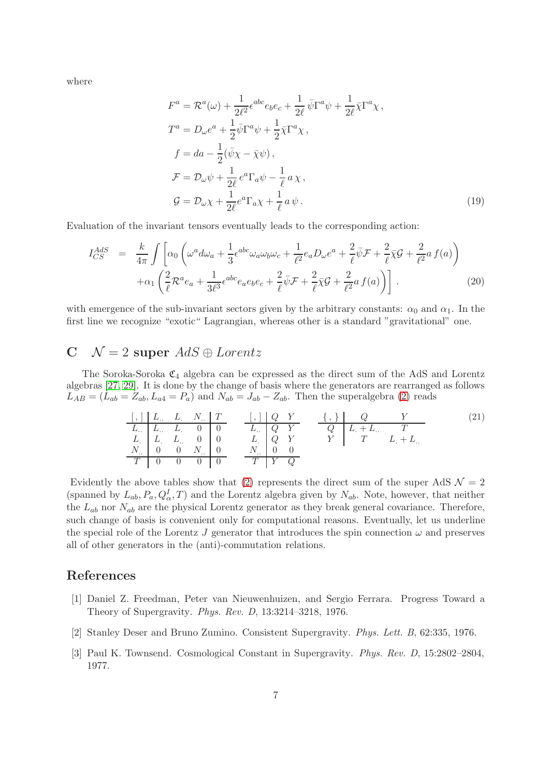where

$$
F^{a} = \mathcal{R}^{a}(\omega) + \frac{1}{2\ell^{2}} \epsilon^{abc} e_{b} e_{c} + \frac{1}{2\ell} \bar{\psi} \Gamma^{a} \psi + \frac{1}{2\ell} \bar{\chi} \Gamma^{a} \chi ,
$$
  
\n
$$
T^{a} = D_{\omega} e^{a} + \frac{1}{2} \bar{\psi} \Gamma^{a} \psi + \frac{1}{2} \bar{\chi} \Gamma^{a} \chi ,
$$
  
\n
$$
f = da - \frac{1}{2} (\bar{\psi} \chi - \bar{\chi} \psi) ,
$$
  
\n
$$
\mathcal{F} = D_{\omega} \psi + \frac{1}{2\ell} e^{a} \Gamma_{a} \psi - \frac{1}{\ell} a \chi ,
$$
  
\n
$$
\mathcal{G} = D_{\omega} \chi + \frac{1}{2\ell} e^{a} \Gamma_{a} \chi + \frac{1}{\ell} a \psi .
$$
\n(19)

Evaluation of the invariant tensors eventually leads to the corresponding action:

$$
I_{CS}^{AdS} = \frac{k}{4\pi} \int \left[ \alpha_0 \left( \omega^a d\omega_a + \frac{1}{3} \epsilon^{abc} \omega_a \omega_b \omega_c + \frac{1}{\ell^2} e_a D_\omega e^a + \frac{2}{\ell} \bar{\psi} \mathcal{F} + \frac{2}{\ell} \bar{\chi} \mathcal{G} + \frac{2}{\ell^2} a f(a) \right) \right. \\
\left. + \alpha_1 \left( \frac{2}{\ell} \mathcal{R}^a e_a + \frac{1}{3\ell^3} \epsilon^{abc} e_a e_b e_c + \frac{2}{\ell} \bar{\psi} \mathcal{F} + \frac{2}{\ell} \bar{\chi} \mathcal{G} + \frac{2}{\ell^2} a f(a) \right) \right].
$$
\n(20)

with emergence of the sub-invariant sectors given by the arbitrary constants:  $\alpha_0$  and  $\alpha_1$ . In the first line we recognize "exotic" Lagrangian, whereas other is a standard "gravitational" one.

## <span id="page-6-3"></span> $C \quad \mathcal{N} = 2$  super  $AdS \oplus Lorentz$

The Soroka-Soroka  $\mathfrak{C}_4$  algebra can be expressed as the direct sum of the AdS and Lorentz algebras [\[27,](#page-8-6) [29\]](#page-8-8). It is done by the change of basis where the generators are rearranged as follows  $L_{AB} = (L_{ab} = Z_{ab}, L_{a4} = P_a)$  and  $N_{ab} = J_{ab} - Z_{ab}$ . Then the superalgebra [\(2\)](#page-2-1) reads

| $\begin{array}{c cccccc}\n & & & & & & \\ \hline\nL & & & & & & & \\ L & & & & & & & \\ L & & & & & & & \\ L & & & & & & & \\ L & & & & & & & \\ N & & & & & & & \\ N & & & & & & & \\ N & & & & & & & \\ N & & & & & & & \\ N & & & & & & & \\ N & & & & & & & \\ N & & & & & & & \\ N & & & & & & & \\ N & & & & & & & \\ N & & & & & & & \\ N & & & & & & & \\ N & & & & & & & \\ N & & & & & & & \\ N & & & & & & & \\ N & & & & & & & \\ N & & & & & & & \\ N & & & & & & & \\ N & & & & & & & \\ N & & & & & & & \\ N & & & & & & & \\ N & & & & & & & \\ N & & & & & & & \\ N & & & & & & & \\ N & & & & & & & \\ N & & & & & & & \\ N & & & & & & & \\ N &$ |
|---------------------------------------------------------------------------------------------------------------------------------------------------------------------------------------------------------------------------------------------------------------------------------------------------------------------------------------------------------------------------------------------------------------------------------------------------------------------------------------------------------------------------------------------------------------------------------------------------------------------------------------------------------------------|
|---------------------------------------------------------------------------------------------------------------------------------------------------------------------------------------------------------------------------------------------------------------------------------------------------------------------------------------------------------------------------------------------------------------------------------------------------------------------------------------------------------------------------------------------------------------------------------------------------------------------------------------------------------------------|

Evidently the above tables show that [\(2\)](#page-2-1) represents the direct sum of the super AdS  $\mathcal{N} = 2$ (spanned by  $L_{ab}$ ,  $P_a$ ,  $Q_\alpha^I$ , T) and the Lorentz algebra given by  $N_{ab}$ . Note, however, that neither the  $L_{ab}$  nor  $N_{ab}$  are the physical Lorentz generator as they break general covariance. Therefore, such change of basis is convenient only for computational reasons. Eventually, let us underline the special role of the Lorentz J generator that introduces the spin connection  $\omega$  and preserves all of other generators in the (anti)-commutation relations.

#### <span id="page-6-0"></span>References

- [1] Daniel Z. Freedman, Peter van Nieuwenhuizen, and Sergio Ferrara. Progress Toward a Theory of Supergravity. Phys. Rev. D, 13:3214–3218, 1976.
- <span id="page-6-2"></span><span id="page-6-1"></span>[2] Stanley Deser and Bruno Zumino. Consistent Supergravity. Phys. Lett. B, 62:335, 1976.
- [3] Paul K. Townsend. Cosmological Constant in Supergravity. Phys. Rev. D, 15:2802–2804, 1977.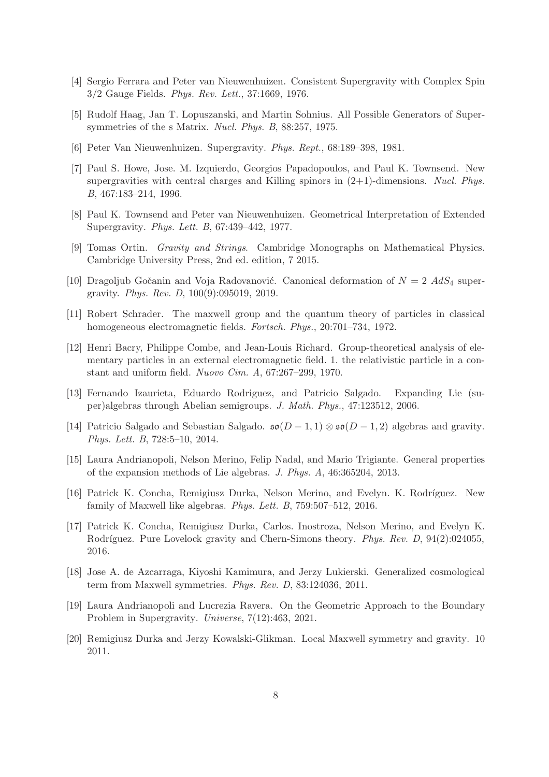- <span id="page-7-1"></span><span id="page-7-0"></span>[4] Sergio Ferrara and Peter van Nieuwenhuizen. Consistent Supergravity with Complex Spin 3/2 Gauge Fields. Phys. Rev. Lett., 37:1669, 1976.
- <span id="page-7-2"></span>[5] Rudolf Haag, Jan T. Lopuszanski, and Martin Sohnius. All Possible Generators of Supersymmetries of the s Matrix. Nucl. Phys. B, 88:257, 1975.
- <span id="page-7-3"></span>[6] Peter Van Nieuwenhuizen. Supergravity. Phys. Rept., 68:189–398, 1981.
- [7] Paul S. Howe, Jose. M. Izquierdo, Georgios Papadopoulos, and Paul K. Townsend. New supergravities with central charges and Killing spinors in  $(2+1)$ -dimensions. Nucl. Phys. B, 467:183–214, 1996.
- <span id="page-7-5"></span><span id="page-7-4"></span>[8] Paul K. Townsend and Peter van Nieuwenhuizen. Geometrical Interpretation of Extended Supergravity. Phys. Lett. B, 67:439–442, 1977.
- <span id="page-7-6"></span>[9] Tomas Ortin. Gravity and Strings. Cambridge Monographs on Mathematical Physics. Cambridge University Press, 2nd ed. edition, 7 2015.
- <span id="page-7-7"></span>[10] Dragoljub Gočanin and Voja Radovanović. Canonical deformation of  $N = 2$  AdS<sub>4</sub> supergravity. Phys. Rev. D, 100(9):095019, 2019.
- <span id="page-7-8"></span>[11] Robert Schrader. The maxwell group and the quantum theory of particles in classical homogeneous electromagnetic fields. Fortsch. Phys., 20:701–734, 1972.
- [12] Henri Bacry, Philippe Combe, and Jean-Louis Richard. Group-theoretical analysis of elementary particles in an external electromagnetic field. 1. the relativistic particle in a constant and uniform field. Nuovo Cim. A, 67:267–299, 1970.
- <span id="page-7-10"></span><span id="page-7-9"></span>[13] Fernando Izaurieta, Eduardo Rodriguez, and Patricio Salgado. Expanding Lie (super)algebras through Abelian semigroups. J. Math. Phys., 47:123512, 2006.
- [14] Patricio Salgado and Sebastian Salgado.  $\mathfrak{so}(D-1,1) \otimes \mathfrak{so}(D-1,2)$  algebras and gravity. Phys. Lett. B, 728:5–10, 2014.
- <span id="page-7-11"></span>[15] Laura Andrianopoli, Nelson Merino, Felip Nadal, and Mario Trigiante. General properties of the expansion methods of Lie algebras. J. Phys. A, 46:365204, 2013.
- <span id="page-7-12"></span>[16] Patrick K. Concha, Remigiusz Durka, Nelson Merino, and Evelyn. K. Rodríguez. New family of Maxwell like algebras. Phys. Lett. B, 759:507–512, 2016.
- <span id="page-7-13"></span>[17] Patrick K. Concha, Remigiusz Durka, Carlos. Inostroza, Nelson Merino, and Evelyn K. Rodríguez. Pure Lovelock gravity and Chern-Simons theory. Phys. Rev. D, 94(2):024055, 2016.
- <span id="page-7-15"></span><span id="page-7-14"></span>[18] Jose A. de Azcarraga, Kiyoshi Kamimura, and Jerzy Lukierski. Generalized cosmological term from Maxwell symmetries. Phys. Rev. D, 83:124036, 2011.
- [19] Laura Andrianopoli and Lucrezia Ravera. On the Geometric Approach to the Boundary Problem in Supergravity. Universe, 7(12):463, 2021.
- <span id="page-7-16"></span>[20] Remigiusz Durka and Jerzy Kowalski-Glikman. Local Maxwell symmetry and gravity. 10 2011.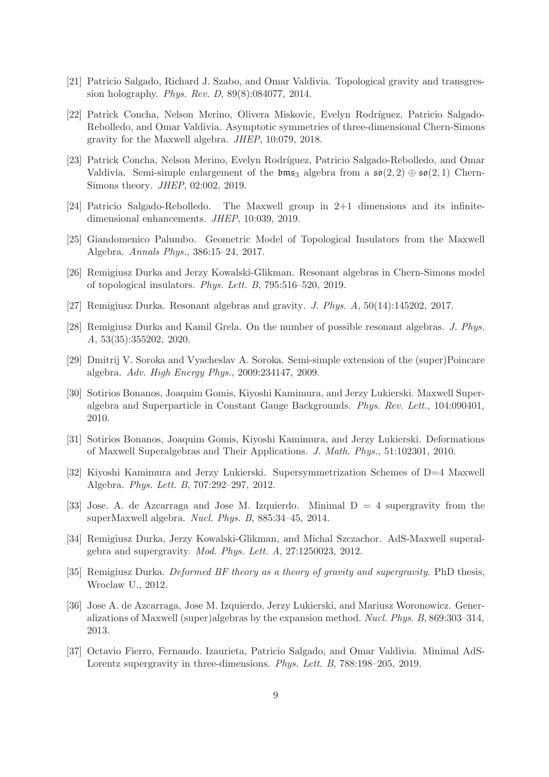- <span id="page-8-1"></span><span id="page-8-0"></span>[21] Patricio Salgado, Richard J. Szabo, and Omar Valdivia. Topological gravity and transgression holography. Phys. Rev. D, 89(8):084077, 2014.
- [22] Patrick Concha, Nelson Merino, Olivera Miskovic, Evelyn Rodríguez, Patricio Salgado-Rebolledo, and Omar Valdivia. Asymptotic symmetries of three-dimensional Chern-Simons gravity for the Maxwell algebra. JHEP, 10:079, 2018.
- <span id="page-8-2"></span>[23] Patrick Concha, Nelson Merino, Evelyn Rodríguez, Patricio Salgado-Rebolledo, and Omar Valdivia. Semi-simple enlargement of the  $\mathfrak{bms}_3$  algebra from a  $\mathfrak{so}(2, 2) \oplus \mathfrak{so}(2, 1)$  Chern-Simons theory. JHEP, 02:002, 2019.
- <span id="page-8-4"></span><span id="page-8-3"></span>[24] Patricio Salgado-Rebolledo. The Maxwell group in 2+1 dimensions and its infinitedimensional enhancements. JHEP, 10:039, 2019.
- <span id="page-8-5"></span>[25] Giandomenico Palumbo. Geometric Model of Topological Insulators from the Maxwell Algebra. Annals Phys., 386:15–24, 2017.
- <span id="page-8-6"></span>[26] Remigiusz Durka and Jerzy Kowalski-Glikman. Resonant algebras in Chern-Simons model of topological insulators. Phys. Lett. B, 795:516–520, 2019.
- <span id="page-8-7"></span>[27] Remigiusz Durka. Resonant algebras and gravity. J. Phys. A, 50(14):145202, 2017.
- [28] Remigiusz Durka and Kamil Grela. On the number of possible resonant algebras. J. Phys. A, 53(35):355202, 2020.
- <span id="page-8-9"></span><span id="page-8-8"></span>[29] Dmitrij V. Soroka and Vyacheslav A. Soroka. Semi-simple extension of the (super)Poincare algebra. Adv. High Energy Phys., 2009:234147, 2009.
- [30] Sotirios Bonanos, Joaquim Gomis, Kiyoshi Kamimura, and Jerzy Lukierski. Maxwell Superalgebra and Superparticle in Constant Gauge Backgrounds. Phys. Rev. Lett., 104:090401, 2010.
- <span id="page-8-10"></span>[31] Sotirios Bonanos, Joaquim Gomis, Kiyoshi Kamimura, and Jerzy Lukierski. Deformations of Maxwell Superalgebras and Their Applications. J. Math. Phys., 51:102301, 2010.
- <span id="page-8-11"></span>[32] Kiyoshi Kamimura and Jerzy Lukierski. Supersymmetrization Schemes of D=4 Maxwell Algebra. Phys. Lett. B, 707:292–297, 2012.
- <span id="page-8-12"></span>[33] Jose. A. de Azcarraga and Jose M. Izquierdo. Minimal  $D = 4$  supergravity from the superMaxwell algebra. Nucl. Phys. B, 885:34–45, 2014.
- <span id="page-8-13"></span>[34] Remigiusz Durka, Jerzy Kowalski-Glikman, and Michal Szczachor. AdS-Maxwell superalgebra and supergravity. Mod. Phys. Lett. A, 27:1250023, 2012.
- <span id="page-8-15"></span><span id="page-8-14"></span>[35] Remigiusz Durka. *Deformed BF theory as a theory of gravity and supergravity*. PhD thesis, Wroclaw U., 2012.
- [36] Jose A. de Azcarraga, Jose M. Izquierdo, Jerzy Lukierski, and Mariusz Woronowicz. Generalizations of Maxwell (super)algebras by the expansion method. Nucl. Phys. B, 869:303–314, 2013.
- <span id="page-8-16"></span>[37] Octavio Fierro, Fernando. Izaurieta, Patricio Salgado, and Omar Valdivia. Minimal AdS-Lorentz supergravity in three-dimensions. Phys. Lett. B, 788:198–205, 2019.